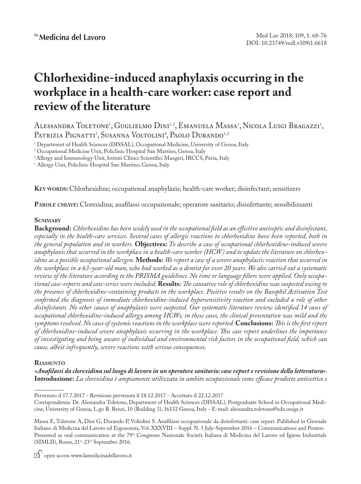# **Chlorhexidine-induced anaphylaxis occurring in the workplace in a health-care worker: case report and review of the literature**

Alessandra Toletone<sup>1</sup>, Guglielmo Dini<sup>1,2</sup>, Emanuela Massa<sup>1</sup>, Nicola Luigi Bragazzi<sup>1</sup>, Patrizia Pignatti<sup>3</sup>, Susanna Voltolini<sup>4</sup>, Paolo Durando<sup>1,2</sup>

1 Department of Health Sciences (DISSAL), Occupational Medicine, University of Genoa, Italy

2 Occupational Medicine Unit, Policlinic Hospital San Martino, Genoa, Italy

<sup>3</sup> Allergy and Immunology Unit, Istituti Clinici Scientifici Maugeri, IRCCS, Pavia, Italy

4 Allergy Unit, Policlinic Hospital San Martino, Genoa, Italy

**Key words:** Chlorhexidine; occupational anaphylaxis; health-care worker; disinfectant; sensitizers

**Parole chiave:** Clorexidina; anafilassi occupazionale; operatore sanitario; disinfettante; sensibilizzanti

# **Summary**

**Background:** *Chlorhexidine has been widely used in the occupational field as an effective antiseptic and disinfectant, especially in the health-care services. Several cases of allergic reactions to chlorhexidine have been reported, both in the general population and in workers.* **Objectives:** *To describe a case of occupational chlorhexidine-induced severe anaphylaxis that occurred in the workplace in a health-care worker (HCW) and to update the literature on chlorhexidine as a possible occupational allergen.* **Methods:** *We report a case of a severe anaphylactic reaction that occurred in the workplace in a 63-year-old man, who had worked as a dentist for over 20 years. We also carried out a systematic review of the literature according to the PRISMA guidelines. No time or language filters were applied. Only occupational case-reports and case-series were included.* **Results:** *The causative role of chlorhexidine was suspected owing to the presence of chlorhexidine-containing products in the workplace. Positive results on the Basophil Activation Test confirmed the diagnosis of immediate chlorhexidine-induced hypersensitivity reaction and excluded a role of other disinfectants. No other causes of anaphylaxis were suspected. Our systematic literature review identified 14 cases of occupational chlorhexidine-induced allergy among HCWs; in these cases, the clinical presentation was mild and the symptoms resolved. No cases of systemic reactions in the workplace were reported.* **Conclusions:** *This is the first report of chlorhexidine-induced severe anaphylaxis occurring in the workplace. This case report underlines the importance of investigating and being aware of individual and environmental risk factors in the occupational field, which can cause, albeit infrequently, severe reactions with serious consequences.*

# **Riassunto**

*«Anafilassi da clorexidina sul luogo di lavoro in un operatore sanitario: case report e revisione della letteratura»*. **Introduzione:** *La clorexidina è ampiamente utilizzata in ambito occupazionale come efficace prodotto antisettico e* 

open access www.lamedicinadellavoro.it

Pervenuto il 17.7.2017 - Revisione pervenuta il 18.12.2017 - Accettato il 22.12.2017

Corrispondenza: Dr. Alessandra Toletone, Department of Health Sciences (DISSAL), Postgraduate School in Occupational Medicine, University of Genoa, L.go R. Benzi, 10 (Building 3), 16132 Genoa, Italy - E-mail: alessandra.toletone@edu.unige.it

Massa E, Toletone A, Dini G, Durando P, Voltolini S. Anafilassi occupazionale da disinfettanti: case report. Published in Giornale Italiano di Medicina del Lavoro ed Ergonomia, Vol. XXXVIII – Suppl. N. 3 July-September 2016 – Communications and Posters. Presented as oral communication at the 79<sup>th</sup> Congresso Nazionale Società Italiana di Medicina del Lavoro ed Igiene Industriale (SIMLII), Rome, 21st-23rd September 2016.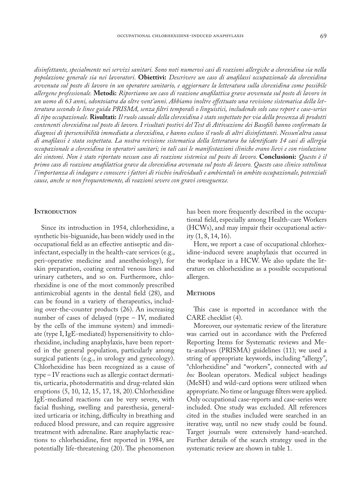*disinfettante, specialmente nei servizi sanitari. Sono noti numerosi casi di reazioni allergiche a clorexidina sia nella popolazione generale sia nei lavoratori.* **Obiettivi:** *Descrivere un caso di anafilassi occupazionale da clorexidina avvenuta sul posto di lavoro in un operatore sanitario, e aggiornare la letteratura sulla clorexidina come possibile allergene professionale.* **Metodi:** *Riportiamo un caso di reazione anafilattica grave avvenuta sul posto di lavoro in un uomo di 63 anni, odontoiatra da oltre vent'anni. Abbiamo inoltre effettuato una revisione sistematica della letteratura secondo le linee guida PRISMA, senza filtri temporali o linguistici, includendo solo case report e case-series di tipo occupazionale.* **Risultati:** *Il ruolo causale della clorexidina è stato sospettato per via della presenza di prodotti contenenti clorexidina sul posto di lavoro. I risultati postivi del Test di Attivazione dei Basofili hanno confermato la diagnosi di ipersensibilità immediata a clorexidina, e hanno escluso il ruolo di altri disinfettanti. Nessun'altra causa di anafilassi è stata sospettata. La nostra revisione sistematica della letteratura ha identificato 14 casi di allergia occupazionale a clorexidina in operatori sanitari; in tali casi le manifestazioni cliniche erano lievi e con risoluzione dei sintomi. Non è stato riportato nessun caso di reazione sistemica sul posto di lavoro.* **Conclusioni:** *Questo è il primo caso di reazione anafilattica grave da clorexidina avvenuta sul posto di lavoro. Questo caso clinico sottolinea l'importanza di indagare e conoscere i fattori di rischio individuali e ambientali in ambito occupazionale, potenziali cause, anche se non frequentemente, di reazioni severe con gravi conseguenze.*

## **INTRODUCTION**

Since its introduction in 1954, chlorhexidine, a synthetic bis-biguanide, has been widely used in the occupational field as an effective antiseptic and disinfectant, especially in the health-care services (e.g., peri-operative medicine and anesthesiology), for skin preparation, coating central venous lines and urinary catheters, and so on. Furthermore, chlorhexidine is one of the most commonly prescribed antimicrobial agents in the dental field (28), and can be found in a variety of therapeutics, including over-the-counter products (26). An increasing number of cases of delayed (type – IV, mediated by the cells of the immune system) and immediate (type I, IgE-mediated) hypersensitivity to chlorhexidine, including anaphylaxis, have been reported in the general population, particularly among surgical patients (e.g., in urology and gynecology). Chlorhexidine has been recognized as a cause of type – IV reactions such as allergic contact dermatitis, urticaria, photodermatitis and drug-related skin eruptions (5, 10, 12, 15, 17, 18, 20).Chlorhexidine IgE-mediated reactions can be very severe, with facial flushing, swelling and paresthesia, generalized urticaria or itching, difficulty in breathing and reduced blood pressure, and can require aggressive treatment with adrenaline. Rare anaphylactic reactions to chlorhexidine, first reported in 1984, are potentially life-threatening (20). The phenomenon

has been more frequently described in the occupational field, especially among Health-care Workers (HCWs), and may impair their occupational activity (1, 8, 14, 16).

Here, we report a case of occupational chlorhexidine-induced severe anaphylaxis that occurred in the workplace in a HCW. We also update the literature on chlorhexidine as a possible occupational allergen.

#### **METHODS**

This case is reported in accordance with the CARE checklist (4).

Moreover, our systematic review of the literature was carried out in accordance with the Preferred Reporting Items for Systematic reviews and Meta-analyses (PRISMA) guidelines (11); we used a string of appropriate keywords, including "allergy", "chlorhexidine" and "workers", connected with *ad hoc* Boolean operators. Medical subject headings (MeSH) and wild-card options were utilized when appropriate. No time or language filters were applied. Only occupational case-reports and case-series were included. One study was excluded. All references cited in the studies included were searched in an iterative way, until no new study could be found. Target journals were extensively hand-searched. Further details of the search strategy used in the systematic review are shown in table 1.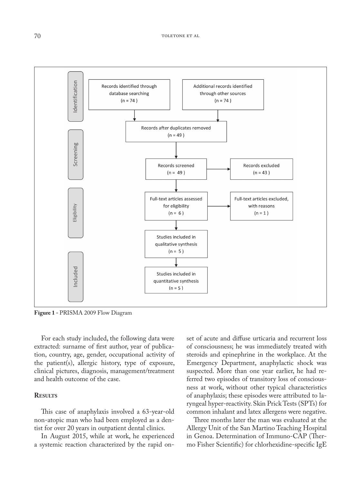

**Figure 1 -** PRISMA 2009 Flow Diagram

For each study included, the following data were extracted: surname of first author, year of publication, country, age, gender, occupational activity of the patient(s), allergic history, type of exposure, clinical pictures, diagnosis, management/treatment and health outcome of the case.

## **Results**

This case of anaphylaxis involved a 63-year-old non-atopic man who had been employed as a dentist for over 20 years in outpatient dental clinics.

In August 2015, while at work, he experienced a systemic reaction characterized by the rapid onset of acute and diffuse urticaria and recurrent loss of consciousness; he was immediately treated with steroids and epinephrine in the workplace. At the Emergency Department, anaphylactic shock was suspected. More than one year earlier, he had referred two episodes of transitory loss of consciousness at work, without other typical characteristics of anaphylaxis; these episodes were attributed to laryngeal hyper-reactivity. Skin Prick Tests (SPTs) for common inhalant and latex allergens were negative.

Three months later the man was evaluated at the Allergy Unit of the San Martino Teaching Hospital in Genoa. Determination of Immuno-CAP (Thermo Fisher Scientific) for chlorhexidine-specific IgE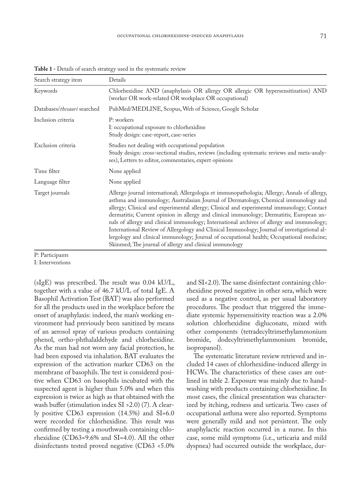| Search strategy item        | Details                                                                                                                                                                                                                                                                                                                                                                                                                                                                                                                                                                                                                                                                                                                           |
|-----------------------------|-----------------------------------------------------------------------------------------------------------------------------------------------------------------------------------------------------------------------------------------------------------------------------------------------------------------------------------------------------------------------------------------------------------------------------------------------------------------------------------------------------------------------------------------------------------------------------------------------------------------------------------------------------------------------------------------------------------------------------------|
| Keywords                    | Chlorhexidine AND (anaphylaxis OR allergy OR allergic OR hypersensitization) AND<br>(worker OR work-related OR workplace OR occupational)                                                                                                                                                                                                                                                                                                                                                                                                                                                                                                                                                                                         |
| Databases/thesauri searched | PubMed/MEDLINE, Scopus, Web of Science, Google Scholar                                                                                                                                                                                                                                                                                                                                                                                                                                                                                                                                                                                                                                                                            |
| Inclusion criteria          | P: workers<br>I: occupational exposure to chlorhexidine<br>Study design: case-report, case-series                                                                                                                                                                                                                                                                                                                                                                                                                                                                                                                                                                                                                                 |
| Exclusion criteria          | Studies not dealing with occupational population<br>Study design: cross-sectional studies, reviews (including systematic reviews and meta-analy-<br>ses), Letters to editor, commentaries, expert opinions                                                                                                                                                                                                                                                                                                                                                                                                                                                                                                                        |
| Time filter                 | None applied                                                                                                                                                                                                                                                                                                                                                                                                                                                                                                                                                                                                                                                                                                                      |
| Language filter             | None applied                                                                                                                                                                                                                                                                                                                                                                                                                                                                                                                                                                                                                                                                                                                      |
| Target journals             | Allergo journal international; Allergologia et immunopathologia; Allergy; Annals of allergy,<br>asthma and immunology; Australasian Journal of Dermatology, Chemical immunology and<br>allergy; Clinical and experimental allergy; Clinical and experimental immunology; Contact<br>dermatitis; Current opinion in allergy and clinical immunology; Dermatitis; European an-<br>nals of allergy and clinical immunology; International archives of allergy and immunology;<br>International Review of Allergology and Clinical Immunology; Journal of investigational al-<br>lergology and clinical immunology; Journal of occupational health; Occupational medicine;<br>Skinmed; The journal of allergy and clinical immunology |
| $\mathbf{u}$ . $\mathbf{v}$ |                                                                                                                                                                                                                                                                                                                                                                                                                                                                                                                                                                                                                                                                                                                                   |

Table 1 - Details of search strategy used in the systematic review

P: Participants

I: Interventions

(sIgE) was prescribed. The result was 0.04 kU/L, together with a value of 46.7 kU/L of total IgE. A Basophil Activation Test (BAT) was also performed for all the products used in the workplace before the onset of anaphylaxis: indeed, the man's working environment had previously been sanitized by means of an aerosol spray of various products containing phenol, ortho-phthalaldehyde and chlorhexidine. As the man had not worn any facial protection, he had been exposed via inhalation. BAT evaluates the expression of the activation marker CD63 on the membrane of basophils. The test is considered positive when CD63 on basophils incubated with the suspected agent is higher than 5.0% and when this expression is twice as high as that obtained with the wash buffer (stimulation index SI >2.0) (7). A clearly positive CD63 expression (14.5%) and SI=6.0 were recorded for chlorhexidine. This result was confirmed by testing a mouthwash containing chlorhexidine (CD63=9.6% and SI=4.0). All the other disinfectants tested proved negative (CD63 <5.0%

and SI<2.0). The same disinfectant containing chlorhexidine proved negative in other sera, which were used as a negative control, as per usual laboratory procedures. The product that triggered the immediate systemic hypersensitivity reaction was a 2.0% solution chlorhexidine digluconate, mixed with other components (tetradecyltrimethylammonium bromide, dodecyltrimethylammonium bromide, isopropanol).

The systematic literature review retrieved and included 14 cases of chlorhexidine-induced allergy in HCWs. The characteristics of these cases are outlined in table 2. Exposure was mainly due to handwashing with products containing chlorhexidine. In most cases, the clinical presentation was characterized by itching, redness and urticaria. Two cases of occupational asthma were also reported. Symptoms were generally mild and not persistent. The only anaphylactic reaction occurred in a nurse. In this case, some mild symptoms (i.e., urticaria and mild dyspnea) had occurred outside the workplace, dur-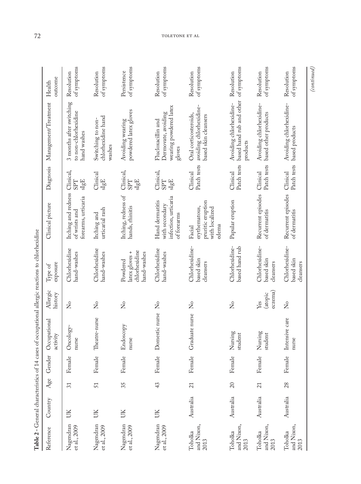|                               |           |     |        | Table 2 - General characteristics of 14 cases of occupational allergic reactions to chlorhexidine |                           |                                                            |                                                                          |                                          |                                                                              |                            |
|-------------------------------|-----------|-----|--------|---------------------------------------------------------------------------------------------------|---------------------------|------------------------------------------------------------|--------------------------------------------------------------------------|------------------------------------------|------------------------------------------------------------------------------|----------------------------|
| Reference                     | Country   | Age | Gender | Occupational<br>activity                                                                          | Allergic<br>history       | exposure<br>Type of                                        | Clinical picture                                                         | Diagnosis                                | Management/Treatment                                                         | outcome<br>Health          |
| Nagendran<br>et al., 2009     | UK        | 31  | Female | Oncology-<br>nurse                                                                                | $\overline{Z}$            | Chlorhexidine<br>hand-washes                               | Itching and redness<br>forearms, urticaria<br>of wrists and              | Clinical,<br>$_{\rm sIgE}$<br><b>LdS</b> | 3 months after switching<br>to non-chlorhexidine<br>hand washes              | of symptoms<br>Resolution  |
| Nagendran<br>et al., 2009     | UK        | 51  | Female | Theatre-nurse                                                                                     | $\overline{X}$            | Chlorhexidine<br>hand-washes                               | urticarial rash<br>Itching and                                           | Clinical<br>slgE                         | chlorhexidine hand<br>Switching to non-<br>washes                            | of symptoms<br>Resolution  |
| Nagendran<br>et al., 2009     | UK        | 35  | Female | Endoscopy<br>nurse                                                                                | $\mathsf{S}^{\circ}$      | chlorhexidine<br>latex gloves +<br>hand-washes<br>Powdered | Itching, redness of<br>hands, rhinitis                                   | Clinical,<br>$_{\rm sIgE}$<br><b>SPT</b> | powdered latex gloves<br>Avoiding wearing                                    | of symptoms<br>Persistence |
| Nagendran<br>et al., 2009     | UK        | 43  | Female | Domestic nurse                                                                                    | $\mathsf{X}_\mathsf{O}$   | Chlorhexidine<br>hand-washes                               | infection, urticaria<br>Hand dermatitis<br>with secondary<br>of forearms | Clinical,<br>$\rm sIgE$<br><b>SPT</b>    | wearing powdered latex<br>Demovate, avoiding<br>Flucloxacillin and<br>gloves | of symptoms<br>Resolution  |
| and Nixon,<br>Toholka<br>2013 | Australia | 21  | Female | Graduate nurse                                                                                    | $\overline{R}$            | Chlorhexidine-<br>based skin<br>cleansers                  | pruritic eruption<br>erythematous,<br>with localized<br>edema<br>Facial  | Patch tests<br>Clinical                  | avoiding chlorhexidine-<br>Oral corticosteroids,<br>based skin cleansers     | of symptoms<br>Resolution  |
| and Nixon,<br>Toholka<br>2013 | Australia | 20  | Female | Nursing<br>student                                                                                | $\overline{z}$            | Chlorhexidine-<br>based hand rub                           | Papular eruption                                                         | Patch tests<br>Clinical                  | based hand rub and other<br>Avoiding chlorhexidine-<br>products              | of symptoms<br>Resolution  |
| and Nixon,<br>Toholka<br>2013 | Australia | 21  | Female | Nursing<br>student                                                                                | eczema)<br>(atopic<br>Yes | Chlorhexidine-<br>based skin<br>cleansers                  | Recurrent episodes<br>of dermatitis                                      | Patch tests<br>Clinical                  | Avoiding chlorhexidine-<br>based other products                              | of symptoms<br>Resolution  |
| and Nixon,<br>Toholka<br>2013 | Australia | 28  | Female | Intensive care<br>nurse                                                                           | $\mathsf{S}^{\circ}$      | Chlorhexidine-<br>based skin<br>cleansers                  | Recurrent episodes<br>of dermatitis                                      | Patch tests<br>Clinical                  | Avoiding chlorhexidine-<br>based products                                    | of symptoms<br>Resolution  |
|                               |           |     |        |                                                                                                   |                           |                                                            |                                                                          |                                          |                                                                              | $\left( contained\right)$  |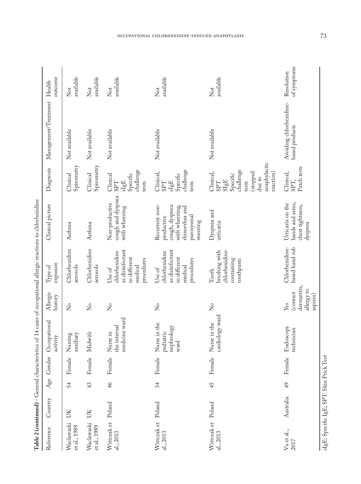| Reference                       | Country   |    | Age Gender | Occupational<br>activity                        | Allergic<br>history                                      | exposure<br>Type of                                                                 | Clinical picture                                                                                             | Diagnosis                                                                                                                       | Management/Treatment                      | outcome<br>Health              |
|---------------------------------|-----------|----|------------|-------------------------------------------------|----------------------------------------------------------|-------------------------------------------------------------------------------------|--------------------------------------------------------------------------------------------------------------|---------------------------------------------------------------------------------------------------------------------------------|-------------------------------------------|--------------------------------|
| Waclawaski<br>et al., 1989      | UK        | 54 | Female     | auxiliary<br>Nursing                            | $\mathsf{S}^{\mathsf{o}}$                                | Chlorhexidine<br>aerosols                                                           | Asthma                                                                                                       | Spirometry<br>Clinical                                                                                                          | Not available                             | available<br>$\overline{N}$ ot |
| Waclawaski<br>et al., 1989      | UK        | 43 | Female     | Midwife                                         | $\mathsf{S}^{\mathsf{o}}$                                | Chlorhexidine<br>aerosols                                                           | Asthma                                                                                                       | Spirometry<br>Clinical                                                                                                          | Not available                             | available<br>$\rm Not$         |
| Wittczak et<br>al., 2013        | Poland    | 46 | Female     | medicine ward<br>the internal<br>Nurse in       | $\mathsf{S}^{\circ}$                                     | as disinfectant<br>chlorhexidine<br>in different<br>procedures<br>medical<br>Use of | cough and dyspnea<br>Non-productive<br>with wheezing                                                         | challenge<br>Specific<br>Clinical<br>$\mathrm{sIgE}$<br>tests<br><b>TGS</b>                                                     | Not available                             | available<br>$\rm Not$         |
| Wittczak et<br>al., 2013        | Poland    | 34 | Female     | Nurse in the<br>nephrology<br>pediatric<br>ward | $\mathcal{L}_{\mathbf{O}}$                               | as disinfectant<br>chlorhexidine<br>in different<br>procedures<br>medical<br>Use of | Recurrent non-<br>cough, dyspnea<br>with wheezing,<br>chinorrhea and<br>paroxysmal<br>productive<br>sneezing | challenge<br>Clinical,<br>$\frac{\text{slg}\text{E}}{\text{Specific}}$<br><b>SPT</b><br>tests                                   | Not available                             | available<br>Not               |
| Wittczak et Poland<br>al., 2013 |           | 45 |            | cardiology ward<br>Female Nurse in the          | $\frac{1}{2}$                                            | chlorhexidine-<br>brushing with<br>containing<br>toothpaste<br>Tooth                | Dyspnea and<br>urticaria                                                                                     | anaphylactic<br>challenge<br>Clinical,<br>stopped)<br>reaction)<br>Specific<br>$\det$ to<br>${\rm SigE}$<br>tests<br><b>SPT</b> | Not available                             | available<br>Not               |
| Vu et al.,<br>2017              | Australia | 49 | Female     | Endoscopy<br>technician                         | dermatitis,<br>allergy to<br>(contact<br>aspirin)<br>Yes | Chlorhexidine-<br>based hand rub                                                    | hands and arms,<br>Urticaria on the<br>chest tightness,<br>dyspnea                                           | Patch tests<br>Clinical,<br>SPT,                                                                                                | Avoiding chlorhexidine-<br>based products | of symptoms<br>Resolution      |

Table 2 (continued) - General characteristics of 14 cases of occupational allergic reactions to chlorhexidine **Table 2 (continued) -** General characteristics of 14 cases of occupational allergic reactions to chlorhexidine

occupational chlorhexidine-induced anaphylaxis 73

 $\mathrm{slgE}\!\!:\!\mathrm{Spec}$ ific $\mathrm{lgE}\!\!:\!\mathrm{SPT}\!\!:\!\mathrm{Sign\,Prick\,Test}$ sIgE: Specific IgE; SPT: Skin Prick Test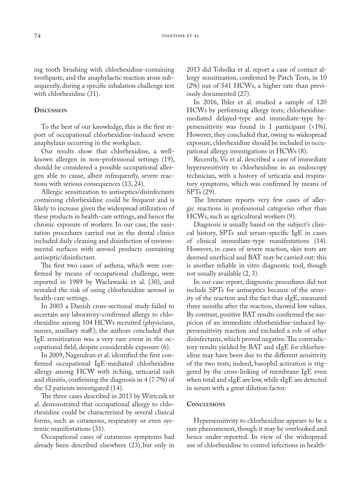ing tooth brushing with chlorhexidine-containing toothpaste, and the anaphylactic reaction arose subsequently, during a specific inhalation challenge test with chlorhexidine (31).

## **Discussion**

To the best of our knowledge, this is the first report of occupational chlorhexidine-induced severe anaphylaxis occurring in the workplace.

Our results show that chlorhexidine, a wellknown allergen in non-professional settings (19), should be considered a possible occupational allergen able to cause, albeit infrequently, severe reactions with serious consequences (13, 24).

Allergic sensitization to antiseptics/disinfectants containing chlorhexidine could be frequent and is likely to increase given the widespread utilization of these products in health-care settings, and hence the chronic exposure of workers. In our case, the sanitation procedures carried out in the dental clinics included daily cleaning and disinfection of environmental surfaces with aerosol products containing antiseptic/disinfectant.

The first two cases of asthma, which were confirmed by means of occupational challenge, were reported in 1989 by Waclawaski et al. (30), and revealed the risk of using chlorhexidine aerosol in health-care settings.

In 2003 a Danish cross-sectional study failed to ascertain any laboratory-confirmed allergy to chlorhexidine among 104 HCWs recruited (physicians, nurses, auxiliary staff); the authors concluded that IgE sensitization was a very rare event in the occupational field, despite considerable exposure (6).

In 2009, Nagendran et al. identified the first confirmed occupational IgE-mediated chlorhexidine allergy among HCW with itching, urticarial rash and rhinitis, confirming the diagnosis in 4 (7.7%) of the 52 patients investigated (14).

The three cases described in 2013 by Wittczak et al. demonstrated that occupational allergy to chlorhexidine could be characterized by several clinical forms, such as cutaneous, respiratory or even systemic manifestations (31).

Occupational cases of cutaneous symptoms had already been described elsewhere (23), but only in 2013 did Toholka et al. report a case of contact allergy sensitization, confirmed by Patch Tests, in 10 (2%) out of 541 HCWs, a higher rate than previously documented (27).

In 2016, Ibler et al. studied a sample of 120 HCWs by performing allergy tests; chlorhexidinemediated delayed-type and immediate-type hypersensitivity was found in 1 participant (<1%). However, they concluded that, owing to widespread exposure, chlorhexidine should be included in occupational allergy investigations in HCWs (8).

Recently, Vu et al. described a case of immediate hypersensitivity to chlorhexidine in an endoscopy technician, with a history of urticaria and respiratory symptoms, which was confirmed by means of SPTs (29).

The literature reports very few cases of allergic reactions in professional categories other than HCWs, such as agricultural workers (9).

Diagnosis is usually based on the subject's clinical history, SPTs and serum-specific IgE in cases of clinical immediate-type manifestations (14). However, in cases of severe reaction, skin tests are deemed unethical and BAT may be carried out: this is another reliable in vitro diagnostic tool, though not usually available (2, 3).

In our case report, diagnostic procedures did not include SPTs for antiseptics because of the severity of the reaction and the fact that sIgE, measured three months after the reaction, showed low values. By contrast, positive BAT results confirmed the suspicion of an immediate chlorhexidine-induced hypersensitivity reaction and excluded a role of other disinfectants, which proved negative. The contradictory results yielded by BAT and sIgE for chlorhexidine may have been due to the different sensitivity of the two tests; indeed, basophil activation is triggered by the cross-linking of membrane IgE even when total and sIgE are low, while sIgE are detected in serum with a great dilution factor.

#### **Conclusions**

Hypersensitivity to chlorhexidine appears to be a rare phenomenon, though it may be overlooked and hence under-reported. In view of the widespread use of chlorhexidine to control infections in health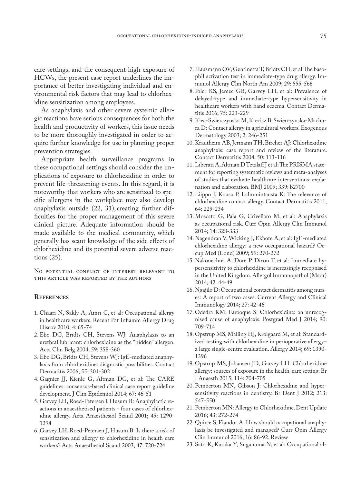care settings, and the consequent high exposure of HCWs, the present case report underlines the importance of better investigating individual and environmental risk factors that may lead to chlorhexidine sensitization among employees.

As anaphylaxis and other severe systemic allergic reactions have serious consequences for both the health and productivity of workers, this issue needs to be more thoroughly investigated in order to acquire further knowledge for use in planning proper prevention strategies.

Appropriate health surveillance programs in these occupational settings should consider the implications of exposure to chlorhexidine in order to prevent life-threatening events. In this regard, it is noteworthy that workers who are sensitized to specific allergens in the workplace may also develop anaphylaxis outside (22, 31), creating further difficulties for the proper management of this severe clinical picture. Adequate information should be made available to the medical community, which generally has scant knowledge of the side effects of chlorhexidine and its potential severe adverse reactions (25).

No potential conflict of interest relevant to this article was reported by the authors

#### **References**

- 1. Chaari N, Sakly A, Amri C, et al: Occupational allergy in healthcare workers. Recent Pat Inflamm Allergy Drug Discov 2010; 4: 65-74
- 2. Ebo DG, Bridts CH, Stevens WJ: Anaphylaxis to an urethral lubricant: chlorhexidine as the "hidden" allergen. Acta Clin Belg 2004; 59: 358-360
- 3. Ebo DG, Bridts CH, Stevens WJ: IgE-mediated anaphylaxis from chlorhexidine: diagnostic possibilities. Contact Dermatitis 2006; 55: 301-302
- 4. Gagnier JJ, Kienle G, Altman DG, et al: The CARE guidelines: consensus-based clinical case report guideline development. J Clin Epidemiol 2014; 67: 46-51
- 5. Garvey LH, Roed-Petersen J, Husum B: Anaphylactic reactions in anaesthetised patients - four cases of chlorhexidine allergy. Acta Anaesthesiol Scand 2001; 45: 1290- 1294
- 6. Garvey LH, Roed-Petersen J, Husum B: Is there a risk of sensitization and allergy to chlorhexidine in health care workers? Acta Anaesthesiol Scand 2003; 47: 720-724
- 7. Hausmann OV, Gentinetta T, Bridts CH, et al:The basophil activation test in immediate-type drug allergy. Immunol Allergy Clin North Am 2009; 29: 555-566
- 8. Ibler KS, Jemec GB, Garvey LH, et al: Prevalence of delayed-type and immediate-type hypersensitivity in healthcare workers with hand eczema. Contact Dermatitis 2016; 75: 223-229
- 9. Kiec-Swierczynska M, Krecisz B, Swierczynska-Machura D: Contact allergy in agricultural workers. Exogenous Dermatology 2003; 2: 246-251
- 10. Krautheim AB, Jermann TH, Bircher AJ: Chlorhexidine anaphylaxis: case report and review of the literature. Contact Dermatitis 2004; 50: 113-116
- 11. Liberati A, Altman D Tetzlaff J et al: The PRISMA statement for reporting systematic reviews and meta-analyses of studies that evaluate healthcare interventions: explanation and elaboration. BMJ 2009; 339: b2700
- 12. Liippo J, Kousa P, Lalmmintausta K: The relevance of chlorhexidine contact allergy. Contact Dermatitis 2011; 64: 229-234
- 13. Moscato G, Pala G, Crivellaro M, et al: Anaphylaxis as occupational risk. Curr Opin Allergy Clin Immunol 2014; 14: 328-333
- 14. Nagendran V, Wicking J, Ekbote A, et al: IgE-mediated chlorhexidine allergy: a new occupational hazard? Occup Med (Lond) 2009; 59: 270-272
- 15. Nakonechna A, Dore P, Dixon T, et al: Immediate hypersensitivity to chlorhexidine is increasingly recognised in the United Kingdom. Allergol Immunopathol (Madr) 2014; 42: 44-49
- 16. Ngajilo D: Occupational contact dermatitis among nurses: A report of two cases. Current Allergy and Clinical Immunology 2014; 27: 42-46
- 17. Odedra KM, Farooque S: Chlorhexidine: an unrecognised cause of anaphylaxis. Postgrad Med J 2014; 90: 709-714
- 18. Opstrup MS, Malling HJ, Krøigaard M, et al: Standardized testing with chlorhexidine in perioperative allergy– a large single-centre evaluation. Allergy 2014; 69: 1390- 1396
- 19. Opstrup MS, Johansen JD, Garvey LH: Chlorhexidine allergy: sources of exposure in the health-care setting. Br J Anaesth 2015; 114: 704-705
- 20. Pemberton MN, Gibson J: Chlorhexidine and hypersensitivity reactions in dentistry. Br Dent J 2012; 213: 547-550
- 21. Pemberton MN: Allergy to Chlorhexidine. Dent Update 2016; 43: 272-274
- 22. Quirce S, Fiandor A: How should occupational anaphylaxis be investigated and managed? Curr Opin Allergy Clin Immunol 2016; 16: 86-92. Review
- 23. Sato K, Kusaka Y, Suganuma N, et al: Occupational al-